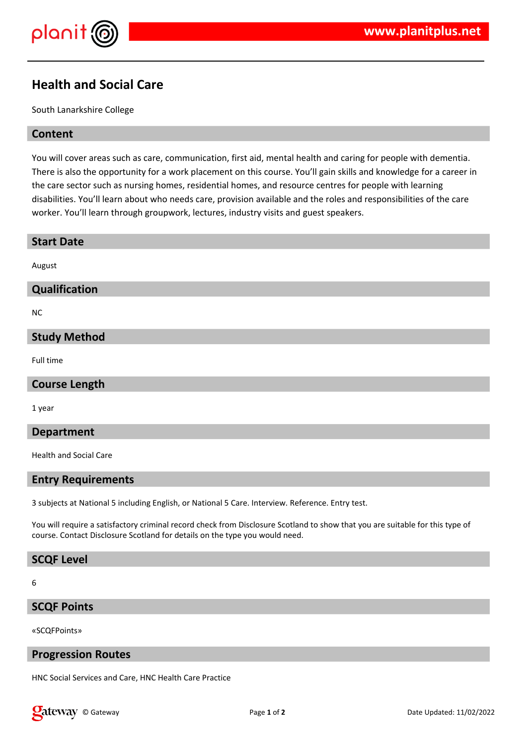



# **Health and Social Care**

South Lanarkshire College

#### **Content**

You will cover areas such as care, communication, first aid, mental health and caring for people with dementia. There is also the opportunity for a work placement on this course. You'll gain skills and knowledge for a career in the care sector such as nursing homes, residential homes, and resource centres for people with learning disabilities. You'll learn about who needs care, provision available and the roles and responsibilities of the care worker. You'll learn through groupwork, lectures, industry visits and guest speakers.

| <b>Start Date</b>    |
|----------------------|
| August               |
| Qualification        |
| <b>NC</b>            |
| <b>Study Method</b>  |
| Full time            |
| <b>Course Length</b> |

1 year

#### **Department**

Health and Social Care

#### **Entry Requirements**

3 subjects at National 5 including English, or National 5 Care. Interview. Reference. Entry test.

You will require a satisfactory criminal record check from Disclosure Scotland to show that you are suitable for this type of course. Contact Disclosure Scotland for details on the type you would need.

#### **SCQF Level**

#### 6

### **SCQF Points**

«SCQFPoints»

### **Progression Routes**

HNC Social Services and Care, HNC Health Care Practice